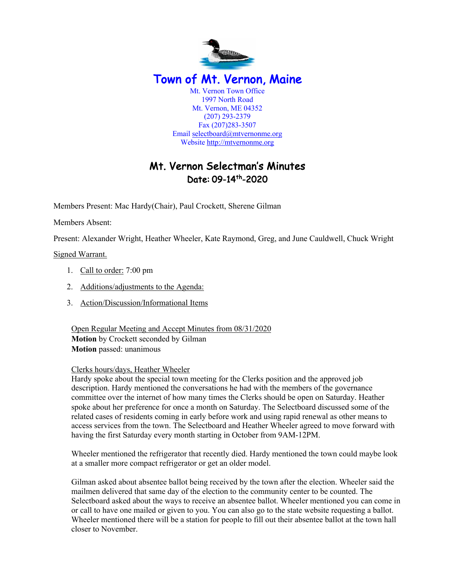

# Mt. Vernon Selectman's Minutes Date: 09-14th-2020

Members Present: Mac Hardy(Chair), Paul Crockett, Sherene Gilman

Members Absent:

Present: Alexander Wright, Heather Wheeler, Kate Raymond, Greg, and June Cauldwell, Chuck Wright

Signed Warrant.

- 1. Call to order: 7:00 pm
- 2. Additions/adjustments to the Agenda:
- 3. Action/Discussion/Informational Items

Open Regular Meeting and Accept Minutes from 08/31/2020 **Motion** by Crockett seconded by Gilman **Motion** passed: unanimous

#### Clerks hours/days, Heather Wheeler

Hardy spoke about the special town meeting for the Clerks position and the approved job description. Hardy mentioned the conversations he had with the members of the governance committee over the internet of how many times the Clerks should be open on Saturday. Heather spoke about her preference for once a month on Saturday. The Selectboard discussed some of the related cases of residents coming in early before work and using rapid renewal as other means to access services from the town. The Selectboard and Heather Wheeler agreed to move forward with having the first Saturday every month starting in October from 9AM-12PM.

Wheeler mentioned the refrigerator that recently died. Hardy mentioned the town could maybe look at a smaller more compact refrigerator or get an older model.

Gilman asked about absentee ballot being received by the town after the election. Wheeler said the mailmen delivered that same day of the election to the community center to be counted. The Selectboard asked about the ways to receive an absentee ballot. Wheeler mentioned you can come in or call to have one mailed or given to you. You can also go to the state website requesting a ballot. Wheeler mentioned there will be a station for people to fill out their absentee ballot at the town hall closer to November.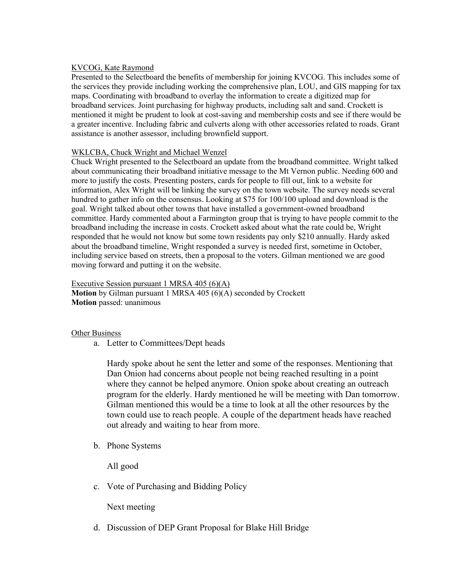# KVCOG, Kate Raymond

Presented to the Selectboard the benefits of membership for joining KVCOG. This includes some of the services they provide including working the comprehensive plan, LOU, and GIS mapping for tax maps. Coordinating with broadband to overlay the information to create a digitized map for broadband services. Joint purchasing for highway products, including salt and sand. Crockett is mentioned it might be prudent to look at cost-saving and membership costs and see if there would be a greater incentive. Including fabric and culverts along with other accessories related to roads. Grant assistance is another assessor, including brownfield support.

## WKLCBA, Chuck Wright and Michael Wenzel

Chuck Wright presented to the Selectboard an update from the broadband committee. Wright talked about communicating their broadband initiative message to the Mt Vernon public. Needing 600 and more to justify the costs. Presenting posters, cards for people to fill out, link to a website for information, Alex Wright will be linking the survey on the town website. The survey needs several hundred to gather info on the consensus. Looking at \$75 for 100/100 upload and download is the goal. Wright talked about other towns that have installed a government-owned broadband committee. Hardy commented about a Farmington group that is trying to have people commit to the broadband including the increase in costs. Crockett asked about what the rate could be, Wright responded that he would not know but some town residents pay only \$210 annually. Hardy asked about the broadband timeline, Wright responded a survey is needed first, sometime in October, including service based on streets, then a proposal to the voters. Gilman mentioned we are good moving forward and putting it on the website.

Executive Session pursuant 1 MRSA 405 (6)(A) **Motion** by Gilman pursuant 1 MRSA 405 (6)(A) seconded by Crockett **Motion** passed: unanimous

## Other Business

a. Letter to Committees/Dept heads

Hardy spoke about he sent the letter and some of the responses. Mentioning that Dan Onion had concerns about people not being reached resulting in a point where they cannot be helped anymore. Onion spoke about creating an outreach program for the elderly. Hardy mentioned he will be meeting with Dan tomorrow. Gilman mentioned this would be a time to look at all the other resources by the town could use to reach people. A couple of the department heads have reached out already and waiting to hear from more.

b. Phone Systems

All good

c. Vote of Purchasing and Bidding Policy

Next meeting

d. Discussion of DEP Grant Proposal for Blake Hill Bridge